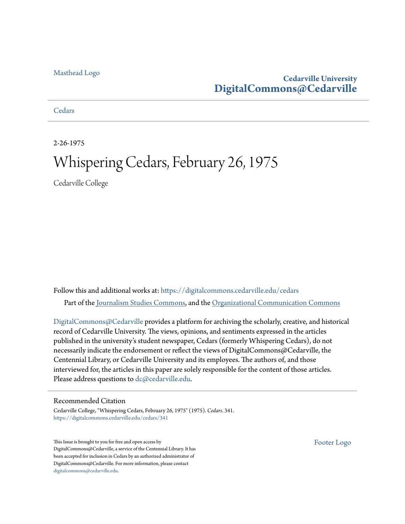## [Masthead Logo](http://www.cedarville.edu/?utm_source=digitalcommons.cedarville.edu%2Fcedars%2F341&utm_medium=PDF&utm_campaign=PDFCoverPages)

## **Cedarville University [DigitalCommons@Cedarville](https://digitalcommons.cedarville.edu?utm_source=digitalcommons.cedarville.edu%2Fcedars%2F341&utm_medium=PDF&utm_campaign=PDFCoverPages)**

**[Cedars](https://digitalcommons.cedarville.edu/cedars?utm_source=digitalcommons.cedarville.edu%2Fcedars%2F341&utm_medium=PDF&utm_campaign=PDFCoverPages)** 

2-26-1975

# Whispering Cedars, February 26, 1975

Cedarville College

Follow this and additional works at: [https://digitalcommons.cedarville.edu/cedars](https://digitalcommons.cedarville.edu/cedars?utm_source=digitalcommons.cedarville.edu%2Fcedars%2F341&utm_medium=PDF&utm_campaign=PDFCoverPages) Part of the [Journalism Studies Commons](http://network.bepress.com/hgg/discipline/333?utm_source=digitalcommons.cedarville.edu%2Fcedars%2F341&utm_medium=PDF&utm_campaign=PDFCoverPages), and the [Organizational Communication Commons](http://network.bepress.com/hgg/discipline/335?utm_source=digitalcommons.cedarville.edu%2Fcedars%2F341&utm_medium=PDF&utm_campaign=PDFCoverPages)

DigitalCommons $@$ Cedarville provides a platform for archiving the scholarly, creative, and historical record of Cedarville University. The views, opinions, and sentiments expressed in the articles published in the university's student newspaper, Cedars (formerly Whispering Cedars), do not necessarily indicate the endorsement or reflect the views of DigitalCommons@Cedarville, the Centennial Library, or Cedarville University and its employees. The authors of, and those interviewed for, the articles in this paper are solely responsible for the content of those articles. Please address questions to [dc@cedarville.edu.](mailto:dc@cedarville.edu)

## Recommended Citation

Cedarville College, "Whispering Cedars, February 26, 1975" (1975). *Cedars*. 341. [https://digitalcommons.cedarville.edu/cedars/341](https://digitalcommons.cedarville.edu/cedars/341?utm_source=digitalcommons.cedarville.edu%2Fcedars%2F341&utm_medium=PDF&utm_campaign=PDFCoverPages)

This Issue is brought to you for free and open access by DigitalCommons@Cedarville, a service of the Centennial Library. It has been accepted for inclusion in Cedars by an authorized administrator of DigitalCommons@Cedarville. For more information, please contact [digitalcommons@cedarville.edu](mailto:digitalcommons@cedarville.edu).

[Footer Logo](http://www.cedarville.edu/Academics/Library.aspx?utm_source=digitalcommons.cedarville.edu%2Fcedars%2F341&utm_medium=PDF&utm_campaign=PDFCoverPages)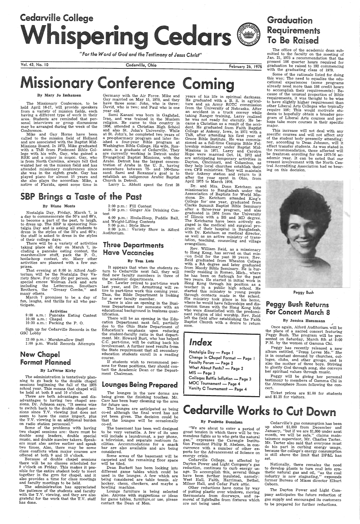



The office of the academic dean sub-<br>mitted to the faculty on the meeting of Jan. 21, 1975 a recommendation that the present 186 quarter hours required for Present 186 quarter hours required for<br> **Present 186 quarter hours required for**<br>
February 26, 1975 graduation be raised to 192 commencing<br>
with the graduating class of 1979.

Some of the rationale listed for doing this was; The need to equalize the edu-<br>cational experiences (some ,programs already need more than 186 credit hours to accomplish their requirements); Because of the unusual proportion of Bible requirements, it was thought to be wise to have slightly higher requirement than other Liberal Arts Colleges who typically require 186; This would motivate students to hopefully obtain a broader program of Liberal Arts courses and perhaps take more courses in their specific major.

*"For the Word of God and the Testimony ol Jesus Christ"* 

The Missionary Conference, to be held April 16-17, will provide speakers from a variety of mission fields, each having a different type of work in their area. Students are reminded that perarea. Students are reminded that per- sonal interviews or · group discussions may be arranged during the week of the Conference.

#### By Mary Jo lmhausen

Germany with the Air Force. Mike and Gay married on May 15, 1970, and they<br>have three sons: John, who is three;<br>David, who is two; and Paul who is one David, who is two; and Paul who is one

year old. Sami Kanani was born in Gaghdad, Iraq, and was trained in the Muslem<br>religion. He came to this country in<br>1956, attended a Christian High School<br>and also St. John's University. While and also St. John's University. While<br>at St. John's, he completed two years of<br>a pre-pharmacy program and later finished a four-year Bible program at Washington Bible College. His wife, Roxanne, is a graduate of Cedarville. They<br>are currently working in Detroit under Evangelical Baptist Missions, with the Arabs. Detroit has the largest concen- tration of Arabs in the U. S., having somewhere between 75- and 100-thousand. Sami and Roxanne's goal is to establish an indigenous Arabic Baptist Church in Detroit.

 Mike and Gay Horne have been called to the mission field of Holland and are associated with the Baptist Mid- Missions Board. In 1973, Mike graduated with a ThB from Piedmont Bible College with his wife, Gay, who gained a BRE and a minor in music. Gay, who is from North Carolina, always felt God wanted her on the mission field and has<br>attended missionary conferences since she was in the eighth grade. Gay has <sup>p</sup>layed piano for almost 15 years and she also plays the accordian: Mike, <sup>a</sup> native of Florida, spent some time in *i* 

Nostalgia Day, Friday, March 7, is a day to commemorate the 50's and 60's,

Cedarville, Ohio

to become a part of the past, to laugh,<br>to dress up. The SBP is sponsoring Nos-<br>talgia Day and is asking all students to<br>dress in the styles of the 50's and 60's;<br>the staff is asked to dress in the styles<br>of their college prises.

Larry L. Abbott spent the first 28

## SBP Brings a Taste of the Past

### By Diane Monts

the patience of the students and faculty with the T.V. viewing, and they are also grateful for the work that the T.V. staff has done.

The lounges in the new dorms are<br>being given the finishing touches. Mr. Carr has been busy cleaning up the area for future use.

There is also an opening in the Business Department for someone with an educational background in business quantification.

There will be an epening in the Edu-<br>cation Department next fall, partially<br>due to the Ohio State Department of<br>Education's emphasis upon reducing<br>the student-faculty ratio in that depart-<br>ment. Mr. Howard Burt, who has he C.C. part-time, will be cutting back his involvement. A further need results from<br>the State requirement that all secondary education students enroll in a reading course.

That evening at 8:00 in Alford Auditorium will be the Nostalgia Day Variety Show. For only 25c per person, see special emcee Wolman Jack and acts including the Lettermen, Smothers Brothers, the "Greasy Combs," and many others.

March 7 promises to be a day of fun, laughs, and thrills for all who participate.

#### Activities

9:00 a.m.: Pancake Eating Contest 10:00 a.m.: Chapel 10:30 a.m.: Packing the P. O.

Sign up for Cedarville Records in the GSC Lobby

> Some areas of the basement will be carpeted and the remaining floor space will be tiled. will be tiled.

12:00 p.m.: Marshmallow Stuff 1:00 p.m. World Records Attempts

## New Chapel Format Planned

## By Laverne Kirby

The administration is tentatively plan-<br>ning to go back to the double chapel<br>sessions begiinning the fall of the 1975 school year. This means that chapel will be held at both 9 and 10 o'clock.<br>There are both advantages and disadvantages to having two chapel sessions. Dr. Johnson says, "It seems wise to switch back to the double chapel ses- sions since T.V. viewing just does not seem to have the same impact, plus the T.V. viewing is an additional burden on radio station personnel." Some of the problems with having two chapel sessions are: there must be double song leaders, double special music, and double number takers. Speakers must also arrive earlier and speak two times. Also, there may be some class conflicts when major courses are offered at both 9 and 10 o'clock. Because of double chapel sessions there will be no classes scheduled for<br>9 o'clock on Friday. This makes it possible for the entire student body to meet together in the gym for chapel, and it also provides a time for class meetings and faculty meetings to be held. The administration has appreciated 2:00 p.m.: Fill Contest

3: 00 p.m.: Ginger Ale Drinking Contest

MOC Tournament \_:\_ Page 4 Varsity C Tournament - Page 4

Colleges Battle Inflation - Page 3

Change in Chapel Format - Page 1

4:00 p.m.: Hoola-Hoop, Paddle Ball, and .Weight-Lifting Contests

5 :00 p.m.: Style Show

8:00 p.m.: Variety Show in Alford Auditorium.

## Three Departments Have Vacancies

## By Tom Lutz

It appears that when the students re-<br>turn to Cedarville next fall, they will find new faculty members in three of<br>the academic departments.<br>Dr. Lawler retired to part-time work

last year, and Dr. Armstrong will re-<br>tire to part-time work this coming year.<br>Thus, the Bible Department is looking<br>for a new faculty member.

This increase will not deal with any specific courses and will not affect any of the student body presently attending; nor, according to Dean Johnson, will it affect transfer students. As was stated in the recommendation, those affected will be freshmen enrolling for the 1975-76 ac-<br>ademic year. It can be noted that our present involvement with the North Central Accrediting Association had no bearing on this decision.



,, Once again, Alford Auditorium will be the place of a sacred concert featuring Peggy Bush. The program will be presented on Saturday, March 8th at  $8:00$ <br>P.M. by the women of Gamma Chi.

Peggy has recently released a new<br>album entitled, ''Jesus Loves Me.'' She is in constant demand by churches, col-<br>leges, clubs, and other groups, and is<br>also the mother of three boys. Striving<br>to glorify God through song, she conveys<br>her spiritual values through music.<br>Peggy will be giving her p

testimony to members of Gamma Chi in the Atmosphere Room following the concert.

If students wish to recommend persons for these positions, they should contact the Academic Dean or the Depart ment Chairman.

## lounges Being Prepared.

Other reductions have come by way of putting plastic over windows, moving thermostats from doorways, and removal of lightbulbs from fixtures which are not being used.

The lounges are anticipated as being co-ed although the final word has not yet been given. The decision could be that the lounges will be occasionally co-ed.

The basement has been well designed . to be very versatile. A few of its uses will include a laundromat, a pay phone, a television, and separate restroom facilities. Accommodations for a snack bar are also available and are being<br>considered.

> Nationally, there remains the need<br>to develop plants to turn coal into synthetic natural gas and oil, "as the coal industry is now stagnating," expounds industry is now stagnating," expounds former Bureau of Mines director Elburt Osborn.

Dean Burkett has been looking into different game tables which could be used in the lounges. A few which are being Considered are table tennis, air hockey, chess, checkers, and maybe <sup>a</sup>bowling machine.

Lounge furniture is being selected also. Anyone with suggestions or ideas for game tables, furniture,or use, please contact the Dean of Men.

February 26, 1975

years of his life in spiritual darkness. He graduated with a B. S. in agricul-

ture and an Army ROTC commission<br>from the University of Nebraska. After<br>an accident in a truck convoy while an accident in a truck convolutional taking Ranger training, Larry realized he was not ready for eternity. He became a Christian as a result of the acci-<br>dent. He graduated from Faith Baptist

dent. He graduated from Faith Baptist College at Ankeny, Iowa, in 1971 with a ThB, after attending his first year at Grace Bible Institute. He was commis-<br>sioned as a full-time Campus Bible Fel-

Sioned as a full-time Campus Bible Fel-<br>- lowship missionary under Baptist Mid-<br>Missions in 1971. Larry and Carolyn<br>Hope were married Oct. 14, 1972 and

are anticipating temporary activities in Dayton, Cincinnati, and Columbus, as they help local churches establish their

own CFB ministries. They will maintain their Ankeny station and return to it after the year spent in Ohio, from<br>April 1975 to March 1976. Dr. and Mrs. Donn Ketcham are

Figure 1. The Magnetian are missionaries to Bangladesh under the Asssociation of Baptists for World Missions. Dr. Ketcham attended King's College for 'one year, graduated from Clarks Summit Baptist Bible Seminary after a t

gram of their hospital in Bangladesh,<br>with Dr. Ketcham as medical director.

as well as an active ministry of trans-<br>lation, teaching, counseling and village<br>evangelism.<br>Rev. William Reid, as a missionary

to Hong Kong, has served on that mis-<br>wion field for the past 20 years. Rev.<br>Reid graduated from Wheaton College

c-ion field for the past 20 years. Rev. Reid graduated from Wheaton College with a BA degree and later graduated from Moody Bible Seminary. He is ~ur- rently residing in Romeo, Mich., where he has been on furlough for the past two years. He started in initial work in

Hong Kong through his position as a teacher in a public high school. He started this ministry to young people through contacts made in the school.

His ministry took place in his home, where he would have fellowships and discussion times with the Hong Kong kids who were dissatisfied with the predominant religion of idol worship. Rev. Reid

left the field after establishing the Faith Baptist Church with a desire to return

soon.

Index

MIS — Page 3

Nostalgia Day - Page I

Faculty Forum - Page 2 What About Pants? — Page 2

# issionary Conference Comil

Peggy Bush

## Peggy Bush Returns For Concert March 8

#### By Jessica Huesmann

Ticket prices are \$1.00 for students and \$1.25 for visitors.

# Cedarville Works to Cut Down

## By Paulette Donalson

"We are about to enter a period of great tension in which there will be tremendous fights as to who gets the natural gas," expresses the Carengie Institution gas," expresses the Carengie Institu- tion President Philip H. Abelson, in concurrence with a number of other experts for the Advancement of Science on

energy crisis.<br>Cedarville College, as affected by Dayton Power and Light Company's gas reduction, continues to curb energy usage. To accomplish this, several things<br>have been further insulated, namely:<br>West Hall, Faith, Harriman, Bethel, Milner Hall, and Cedar Park attic.

Cedarville's gas consumption has been up about \$1,050 from December and .January, "but if we are \$1,000 under next month, we will be safe," claims maintainence supervisor, Mr. Charles Tarter. do his part in curbing energy usage, because the college's energy consumption is still above the limit that DP&L has set.

The Dayton Power and Light Company anticipates the future reduction of gas suppl'Y and encouraged its customers to be prepared for further reductions.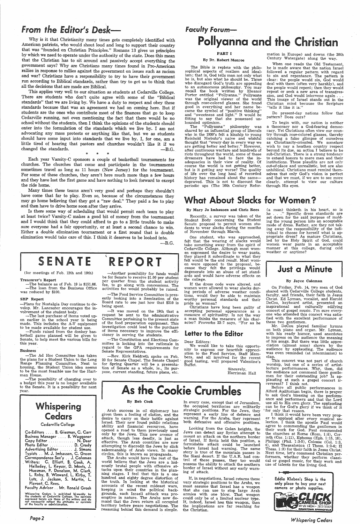This applies very well to our situation as students at Cedarville College. There are students who don't quite agree with some of the ''Biblical standards" that we are living by. We have a duty to respect and obey these standards because that was an agreement we had on coming here. But if students are the ones who contribute most of the finances that go to keep Cedarville running, not even mentioning the fact that there would be no school without the students, then I think the opinions of-the students should enter into the formulation of the standards which we live by. I am not advocating any mass protests or anything like that, but we as students should have some input into standards that we live by. I, for one, am <sup>a</sup> little tired of hearing that pastors and churches wouldn't like it if we changed the standards.  $- B.G.$ 

## $From the Editor's Desk—$

Why is it that Christianity many times gets completely identified with American patriots, who would shout loud and long to support their country that was "founded on Christian Principles." Romans 13 gives us principles by which we need to operate under the authority of the state. Does this mean that the Christian has to sit around and passively accept everything the government says? Why are Christians many times found in Pro-American rallies in response to rallies against the government on issues such as racism and war? Christians have a responsibility to try to have their government run according to Biblical standards, rather than try to get us to think that all the decisions that are made are Biblical.

\* \* \*

Each year Varsity-C sponsors a couple of basketball tournaments for churches. The churches that come and participate in the tournaments sometimes travel as long as 11 hours (New Jersey) for the tournament. For some of these churches, they aren't here much more than a few hours and they have lost the first game and have nothing to look forward to except the ride home.

Many times these teams aren't very good and perhaps they shouldn't have come that far to play. Even so, because of the circumstances they may go home believing that they got a "raw deal." They paid a fee to play and then have to drive home soon after they arrive.

The Bible is replete with the philosophical aspects of realism and idealism; that is, God tells man not only what he is, but also what he should be. Those who disregard God's truth are appealing to an autonomous philosophy. You may recall the book written by Eleanor Porter entitled "Pollyanna." Pollyanna was the original viewer of the world through rose-colored glasses. She found good in everything and her name became the symbol of "positive thinking" and "sweetness and light." It would be fitting to say that she possessed unbounded optimism.<br>The "Pollvann"

Is there some way of scheduling that would permit each team to play at least twice? Varsity-C makes a good bit of money from the tournament and I would think that they could afford to go to a little trouble to make sure everyone had a fair opportunity, or at least a second chance to win. Either a double elimination tournament or a first round that is double elimination would take care of this. I think it deserves to be looked into.

 $-B.G.$ 

## SENATE **REPORT**

(for meetings of Feb. 12th and 19th)

#### Treasurer's Report

-The balance as of Feb. 19 is \$151.06. -The loan from the Business. Office was reduced by \$100.

#### SBP Report

"Pollyanna" philosophy was shared by an influential group of liberals who in the 1930's felt a kinship to young Reinhold Niebuhr's naive and wishful thought that "every day in every way we are getting better and better." However, after continuous warfare and hundreds of riots throughout the world, some of these dreamers have had to face the inadequacies in their view of reality. Of course the world is not getting better, but is it getting any worse? The quality of life over the long haul of recorded history has remained about the same-depraved. This is not to discount the periodic ups (The 16th Century Refor-

-Plans for Nostalgia Day continue to develop. Mr. Lancaster encourages the involvement of the student body.

-The last purchase of items voted upon earlier in the school year is being made. This includes the A-V equipment to be made available for student use.

-Funds raised from the donkey basketball game planned will be given to Senate, to help meet the various bills for this year.

#### Business

-The Ad Hoc Committee has taken the plans for a Student Union to the Long Range Planning Committee. Next to housing, the Student Union idea seems to be the most feasible use for the Hartman House.

-The possibility of changing over to a budget this year is no longer available to the Senate. It is a possibility for next year.

-Another possibility for funds would be for Senate to receive \$1.00 per student per quarter from the student activity<br>fee, to go along with concessions. The to go along with concessions. The activities fee would probably be raised.

-The Food Service Committee is presently looking into a itemization of the Board rate to see just how that \$210 is being spent.

-It was moved on the 19th that <sup>a</sup> request be sent to the administrative Committee pertaining to the present state of the food preparation equipment. This investigation could lead to the purchase of items necessary to improve the efficiency in serving the students.

> We would like to take this opportunity to express our heartfelt appreciation to the Food Service, Staff Members, and all involved for the recent good tasting, well prepared Valentine's Buffet.

-The Constitution and Elections Committee is looking into the rationale in regard to the GPA requirements for Senate Representatives.

-Rev. Kirk Heldreth spoke on Feb. 20 for Senate Chapel. The Senate Chapel for Spring Quarter will be a presentation of Senate as a whole, ie., its purpose, current standing, future plans, etc.

# **Faculty Forum-**Pollyanna and the Christian

(a man) thinketh in his heart, so is<br>he . . ." Specific dress standards are he . . . " Specific dress standards are set down for the said purpose of molding the young person into an acceptable mode of dress. Rather, are they not taking away the responsibility of the individual to choose for herself what is appropriate dress? As mature Christians, led by the Holy Spirit of God, could women wear pants in an acceptable manner at this college, during cold weather or anytime?

### PART I

## By Dr. Robert Monroe

mation in Europe) and downs. (the 20th Century Watergate) along the way.

When one reads the Old Testament, he is made aware that the nation Israel followed a regular pattern with regard to sin and repentance. The pattern is clear: the peopie would sin, God would deal with them (often very harshly), and the people would repent; then they would repeat or seek a new area of transgression, and God would intervene again . . . This image of Israel stands out in the Christian mind because the Scripture "tells it like it is."

Whispering and the occupied territories are militarily can be for God's glory. The applauding<br>Arch success in all diplomasy has strategic positions. For the Jews they "for only that reason In every case, except that of Jerusalem, the occupied territories are militarily .strategic positions. For the Jews, they represent a early line of defence and warning. For the Arabs, they represent both defensive and offensive positions.

Do present-day nations follow that pattern? Does ours?

If, in negotiations, Israel returns these very strategic positions to the Arabs, we must assume that Israel has a weapon that she can use to stop large Arab armies with one blow. That weapon could only be of a limited nuclear type. If, indeed, Israel has this weapon, then the implica-tions are far reaching for the Christian.

To begin with, our nation is neither <sup>a</sup>theocracy nor a God-fearing democ racy. Yet Christians often view our coun try through rose-colored glasses, thereby catching a false glimpse of ourselves as Christianity-oriented. We somehow wish to pay a heathen country respect beyond its due, an action I believe to be sub-Christian. There is a strong tendency to extend honors to mere men and their institutions. These plaudits are not only out-of-place and unrealistic, but. are also unbiblical. Christians must remind them selves that only God's vision is perfect and that we must, if we are to see more clearly, attempt to view our culture through His eyes.

## **What About Slacks for Women?**

Eddie Klaben's Shop is the only place to buy your next camera or photo supplies.



## By Mary Jo Imhausen and Chris Rees

Recently, <sup>a</sup>survey was taken of the Student Body concerning the Student Senate proposal to permit women students to wear slacks during the months of November through March.

One student, who was approached, felt that the wearing of slacks would take something away from the spirit of Cedarville College. Although most women expressed the desire to wear pants, they placed it subordinate to what they felt would be the end result. Most women were opposed to the proposal, because they felt the privilege would degenerate into an abuse of set standards and would have adverse effects on the college.

If the dress code were altered, and women were allowed to wear slacks during periods of adverse weather conditions, would they be able to maintain worthy personal standards and ' their pride as women?

Christians have long been guilty of accepting personal appearance as <sup>a</sup> measure of spirituality. Is not the way <sup>a</sup>man thinks the measure of his character? Proverbs 23:7 says, "For as he

## letter to the Editor

### Dear Editors:

Sincerely, Harriman Hall

## Just a Minute

### By Joyce Coleman

On Friday, Feb. 14, two men of God shared with Cedarville College students, faculty, and friends, their faith in Jesus Christ. Ed Lyman, vocalist, and Harold DeCou, keyboard artist, presented an inspirational and culturally edifying concert of gospel music. I'm sure everyone who attended this concert was satisfied with the excellent 'performance of these two gentlemen.

Mr. DeCou played familiar hymns on both piano and organ. Mr. Lyman, with his ready humor, used anecdotes to impress on the audience the meaning of his songs. But there was little appreciation (almost none) shown by the audience by applauding. The audience was even reminded (at intermission) to clap.



not necessarily reflect the attitudes or opinions<br>of the faculty or odministratlon.

*Page2* 

# As the Cookie Crumbles  $\left[\begin{array}{c} \text{Before all public performances in}\\ \text{After Additional Again, there is prayer}\\ \text{to ask God's pleasing on the perform-$

## By Bob Cook

Arab success in oil. diplomacy has given them a feeling of elation, and the desire to carry on their battle against Israel. Their new found public relations ability and financial resources, have opened a road to them previously used only by the Jews. This new avenue of attack, though less deadly, is just as effective. The Arab countries are now attempting to discredit the Jews by slick salesmanship of Arab views. In many circles, this is known as propaganda.

This concert was not part of church worship, but one of a series of artistlecture performances. Why, then, did the audience not commend these gentlemen for their outstanding job? Is ap<sup>p</sup>lauding at such a gospel concert irance and performers and that the Lord<br>use all to His own glory. The applauding for only that reason. I think it would have been very proper to applaud after every musical se- lection. I think the apostle Paul would agree to commending the gentlemen in their work for God. Paul commended the churches at Rome (Rom. 1 :8), Corinth (Cor. 1:11), Ephesus (Eph. 1:15, 16), Philippi (Phil. 1:3-5), Colosse (Col. 1:3, 4), and Thessalonica (I Thess. 1:2-4; II Thess. 1:3) for their faith in Jesus Christ. Next time, let's commend Christian performers, whether they perform classical or gospel music, for their work and use of talents for the living God.

The Arabs would have the rest of the world believe that the Jews are a hideously brutal people with offensive attacks upon their countries in the planning stages. I feel that this is a one hundred and eighty degree distortion of the truth. In looking at the historical accounts of the recent mideast wars, keeping in mind the political backgrounds, each Israeli atttack was preemptive in nature. The Arabs now demand that the Jews return all occupied territory before peace negotiations. The reasoning behind this demand is simple.

Looking from the Golan heights, the Jews can detect any Syrian attempt to mount an attack on the northern border of Israel. If Syria held this position, <sup>a</sup> formidable attack could be launched before Israel had warning. The same story is true of the mountain passes in the Siani desert. If the U.A.R. had control of these passes, they too would possess the ability to attack the southern border of Israel without any early warning of attack.

*Whispering Cedars*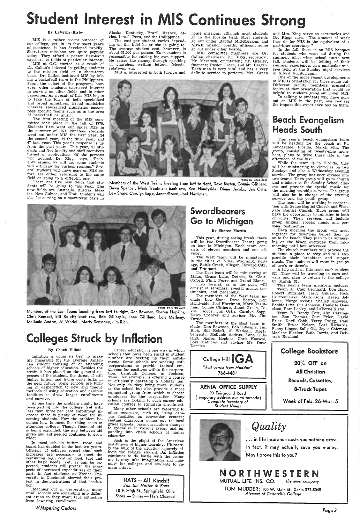# Student Interest in MIS Continues Stro

## By Laverne-Kirby

MIS is a rather recent outreach of our college, yet, in its few short years of existence, it has developed rapidly. Short-term missions are quite popular today. They afford a person first-hand exposure to fields of particular interest.

The cost per student varies depending on the field he or she is going to. The average student cost, however, is about \$1,000 per person. Each student is responsible for raising his own support. He raises the money through speaking in churches, writing letters, friends, relatives, etc.

MIS at C.C. started as a result of Dr. Callan's interest in getting students to the mission field on a short-term basis. Dr. Callan instituted MIS by taking a basketball team to the Philippines. From the outset of the program, however, other students expressed interest in serving on other fields and in other capacities. As a result of this, MIS began to take the form of both specialized and broad ministries. Broad ministries whereas specialized ministries encompass specific teams such as in the area of basketball or music.

Alaska, Kentucky, Brazil, France, Africa, Israel, Peru, and the Philippines.

## Beach Evangelism Heads South

MIS is interested in both foreign and

The first meeting of the MIS committee took place in the fall of 1970. Students first went out under MIS in the summer of 1971. Nineteen students went out under MIS the first year, 24 the second year, 44 the third year, and <sup>47</sup>last year. This year's response is up from the past years. This year, 71 students and five faculty and staff members turned in applications. Of the persons who aonlied. Dr. Riggs says, "Probahlv around 55 will go, some students will withdraw for various reasons." Several students who have gone on MIS before are either returning to the same field or going to a different one.<br>Thene are first users field did the state of the state of the state of the state of the state of the state of the state of the state of the state of the state of the state of the state of

home missions, although most students go to the foreign field. Most students go out under Baptist Mid-Missions and ABWE mission boards, although some go out under other boards.

MIS committee members are Dr. Callan, chairman; Dr. Riggs, secretary; Mr. Mcintosh, orientation; Mr. Gridley, finances; Pastor Green, and Mr. Bergen. Each man is very vital and has <sup>a</sup>very definite service to perform. Mrs. Green and Mrs. King serve as secretaries and Dr. Riggs says, "The amount of work they do for MIS is the equivalent of a part-time secretary."

In the fall, there is an MIS banquet for students who went out during the summer, Also, when school starts next fall, students will be telliing of their summer experiences on a particular mission field at the Sunday night services in Alford Auditoriaum.

Members of the East Team: kneeling from left to right, Dan Bowman, Sharon Hopkins, Chris Konscol, Bill Roloff; badk row, Bob Gillespie, Lana Gilliland, Lois Matheny, Mellanie Andrus, Al Wadell, Marty Senseney, Jim Rich.

# **Colleges Struck by Inflation**

One of the more recent developments of MIS is orientation for those going out. Different faculty members presented topics at that orientation that would be helpful to students going out under MIS.

In talking to students who have gone out on MIS in the past, one realizes the impact this experience has on them.

This year's beach evangelism team will be heading for the beach at Ft. Lauderdale, Florida, March 20th. The group, consisting of twenty-nine members, plans to drive there late in the afternoon of the 21st.

In most schools tuition, room and<br>board has doubled in the last ten years. Officials of colleges report that such increases are necessary to meet the continuing high cost of food, fuel and other basic needs. Yet, as can be expected, students still protest the prospects of increased expenditures on their part. In fact students at Xavier University in Cincinnati showed their protest in demonstrations at that institution.

..<br>Reaching out in desperation, many small schools are expanding into different areas so they won't face extinction from lowering enrollment.

only do they bring more students to the school but also provide <sup>a</sup>more competent group from which to choose employees for the corporation. Many schools are looking to such career education courses to stimulate enrollment.

Many other schools are resorting to other measures, such as, using campus facilities as convention centers; renting classroom space out to· local grade schools; basic curriculum changes to specialize in various areas; and expanding into chain schools of higher education.

While the team is in Florida, they will be ministering to churches on two Sundays and also a Wednesday evening service. The group has been divided into two teams. Each group will go to church and minister to the Sunday School classes and provide the special music for the morning worship service. The group will also be in charge of the evening service and the youth group.

 The West team will be ministering in the cities of Niles, Wyoming, Portage, Battle Creek, Allegan, Howard City,<br>and Fruitport.

There are five new fields that students will be going to this year. The new fields are Australia, Austria, Mexico, New Guinea, and Utah. Students will also be serving on a short-term basis in

Members of the West Team: kneeling from left to right, Dave Boston, Connie Clithero, Dawn Spencer, Mark Trautman; back row, Ken Handyside, Diane Jacobs, Jan Ortiz,

Lew Stone, Carolyn Sapp, Janet Green, Joel Harriman.

Photo by Greg Zuck

## By Chuck Elliott

A trip such as this costs each student \$25. They will be traveling in cars and vans and plan to return to the college by March<sup>31.</sup>

Inflation is doing its best to make life miserable for the average American student thinking of or attending schools of higher education. Besides the strain it has placed on the general expenses of the student, the threat of still higher tuition and living costs lurks in the near future. Some schools are turn-

ing in desperation to new and unique methods of using education and campus facilities to draw larger enrollments and survive.

At one time the problem might have been getting into the college. Yet with less than three per cent enrollment increase there is plenty of room for incoming students. Now the problem becomes how to meet the rising costs of attending college. Though financial aid is being expanded, the gap between aid <sup>g</sup>iven and aid needed continues to grow wider.

*Whispering Cedars* 

Career education is one way in which schools that have been small in student number are beefing up their enrollments. Some schools are working with corporations to provide trained em<sup>p</sup>loyees for positions within the corpora- tion. Lambuth College, in Jackson, Tenn., for example, is offering a course in effioiently operating a Holiday Inn.

Such is the plight of the American institutions of higher learning. Ultimately the bulk of the situation squarely af-. fects the college student .. As inflation continues to do ·battle with the economy it may take imagination and ingenuity for colleges and students to remain intact.

> HATS -- All Kinds!! *Jim the Hatter* & *Sons*  10 E. High St., Springfield, Ohio Shoes — Shines — Hats Cleaned

## Sword bearers Go to Michigan

### By Sheree Martin

This year, during spring break, there will be two Swordbearer Teams going on tour to Michigan. Each team consists of eleven inembers and one advisor.

The East team will be ministering at Milan, Grass Lake, Detroit, St. Clair, Oxford, Flint, Perry and Grand Blanc.

Their format, as in the past, will consist of seminars, special music, tes-

timonies, and preaching. The members of the West team include: Lew Stone, Dave Boston, Ken Handyside, Joel Harriman, Mark Trautman, Connie Clithero, Janet Green, Diane Jacobs, Jan Ortiz, Carolyn Sapp, Dawn Spencer and advisor Mr. Jim Turner.

The members of the East team include: Dan Bowman, Bob Gillespie, Jim Rich, Bill Roloff, Al Waddell, Marty Sensenty, Mellanie Andrus, Lana Gilliland, Sharon Hopkins, Chris Konscol, Lois Matheny and advisor Mr. Dave Dernlen.



XENIA OFFICE SUPPLY

93 Fairground Road ( temporary address due to tornado) *Complete Inventory of Student Needs* 

The team will be working in cooperation with Grace Baptist Church and Westgate Baptist Church. Each group will have the opportunity to minister in both churches. Their services will include group singing, special music and personal testimonies.

 Each morning the group will meet together for devotions before they go on to the beach. They plan to be witnessing on the beach everyday from midmorning until late afternoon.

The church members will provide the students a place to stay and will also provide their breakfast and supper meals. The students will room in groups of two's or three's.

This year's team members include: Team A: Chip Bernhard, Don Hare, Robert Burkhart, Jerry Gilyard, Rick Lautzenheiser, Mark Gons, Karen Sollenne, Margo Axiotis, Shelley Knowles, Bobbie Litts, Sue Johnson, Paulette Donalson, Pam Lepley, and La Verne Kirby.

Team B: Randy Tate, Jim Carrington, Ron Thomas, Curt Frier, David Frier, Davi! Cobb, Terry Twigg, Paul Smith, Bruce Keiser, Lori Richards, Penny Linger, Sally Ott, Joyce Coleman, Marlene Bleeker, Ruth Jarvis, and Deborah Rowland.



8-Track Tape's

Week of Feb. 26-Mar. *5* 



*Quality*  . .. in life insurance costs you nothing extra. In fact, it may actually save you money. May I prove this to you?

# N O R T H W E S T E R N

MUTUAL LIFE INS. CO. *the quiet company* 

TOM MUDDER; 100 w. Main St., Xenia 372-8045 *Alumnus of Cedarville College* 

*Page3*